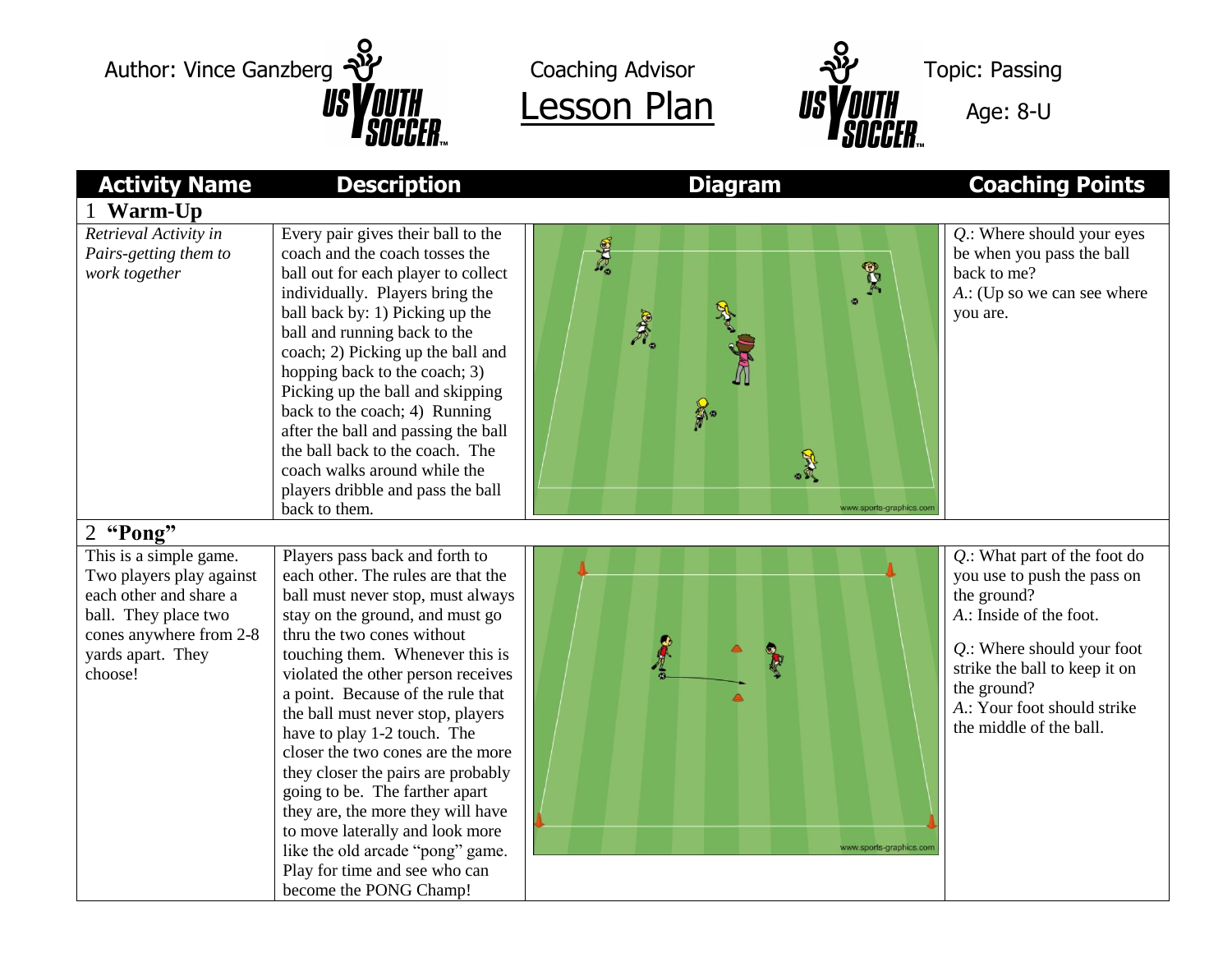



| <b>Activity Name</b>                                                                                                                                            | <b>Description</b>                                                                                                                                                                                                                                                                                                                                                                                                                                                                                                                                                                                                                               | <b>Diagram</b>                                                                     | <b>Coaching Points</b>                                                                                                                                                                                                                           |
|-----------------------------------------------------------------------------------------------------------------------------------------------------------------|--------------------------------------------------------------------------------------------------------------------------------------------------------------------------------------------------------------------------------------------------------------------------------------------------------------------------------------------------------------------------------------------------------------------------------------------------------------------------------------------------------------------------------------------------------------------------------------------------------------------------------------------------|------------------------------------------------------------------------------------|--------------------------------------------------------------------------------------------------------------------------------------------------------------------------------------------------------------------------------------------------|
| <b>Warm-Up</b>                                                                                                                                                  |                                                                                                                                                                                                                                                                                                                                                                                                                                                                                                                                                                                                                                                  |                                                                                    |                                                                                                                                                                                                                                                  |
| Retrieval Activity in<br>Pairs-getting them to<br>work together                                                                                                 | Every pair gives their ball to the<br>coach and the coach tosses the<br>ball out for each player to collect<br>individually. Players bring the<br>ball back by: 1) Picking up the<br>ball and running back to the<br>coach; 2) Picking up the ball and<br>hopping back to the coach; 3)<br>Picking up the ball and skipping<br>back to the coach; 4) Running<br>after the ball and passing the ball<br>the ball back to the coach. The<br>coach walks around while the<br>players dribble and pass the ball<br>back to them.                                                                                                                     | <b>Primer</b><br><b>BD4</b><br>A.<br>$\frac{2}{n}$<br>最<br>www.sports-graphics.con | Q.: Where should your eyes<br>be when you pass the ball<br>back to me?<br>A.: (Up so we can see where<br>you are.                                                                                                                                |
| 2 "Pong"                                                                                                                                                        |                                                                                                                                                                                                                                                                                                                                                                                                                                                                                                                                                                                                                                                  |                                                                                    |                                                                                                                                                                                                                                                  |
| This is a simple game.<br>Two players play against<br>each other and share a<br>ball. They place two<br>cones anywhere from 2-8<br>yards apart. They<br>choose! | Players pass back and forth to<br>each other. The rules are that the<br>ball must never stop, must always<br>stay on the ground, and must go<br>thru the two cones without<br>touching them. Whenever this is<br>violated the other person receives<br>a point. Because of the rule that<br>the ball must never stop, players<br>have to play 1-2 touch. The<br>closer the two cones are the more<br>they closer the pairs are probably<br>going to be. The farther apart<br>they are, the more they will have<br>to move laterally and look more<br>like the old arcade "pong" game.<br>Play for time and see who can<br>become the PONG Champ! | www.sports-graphics.cor                                                            | Q.: What part of the foot do<br>you use to push the pass on<br>the ground?<br>A.: Inside of the foot.<br>$Q$ .: Where should your foot<br>strike the ball to keep it on<br>the ground?<br>A.: Your foot should strike<br>the middle of the ball. |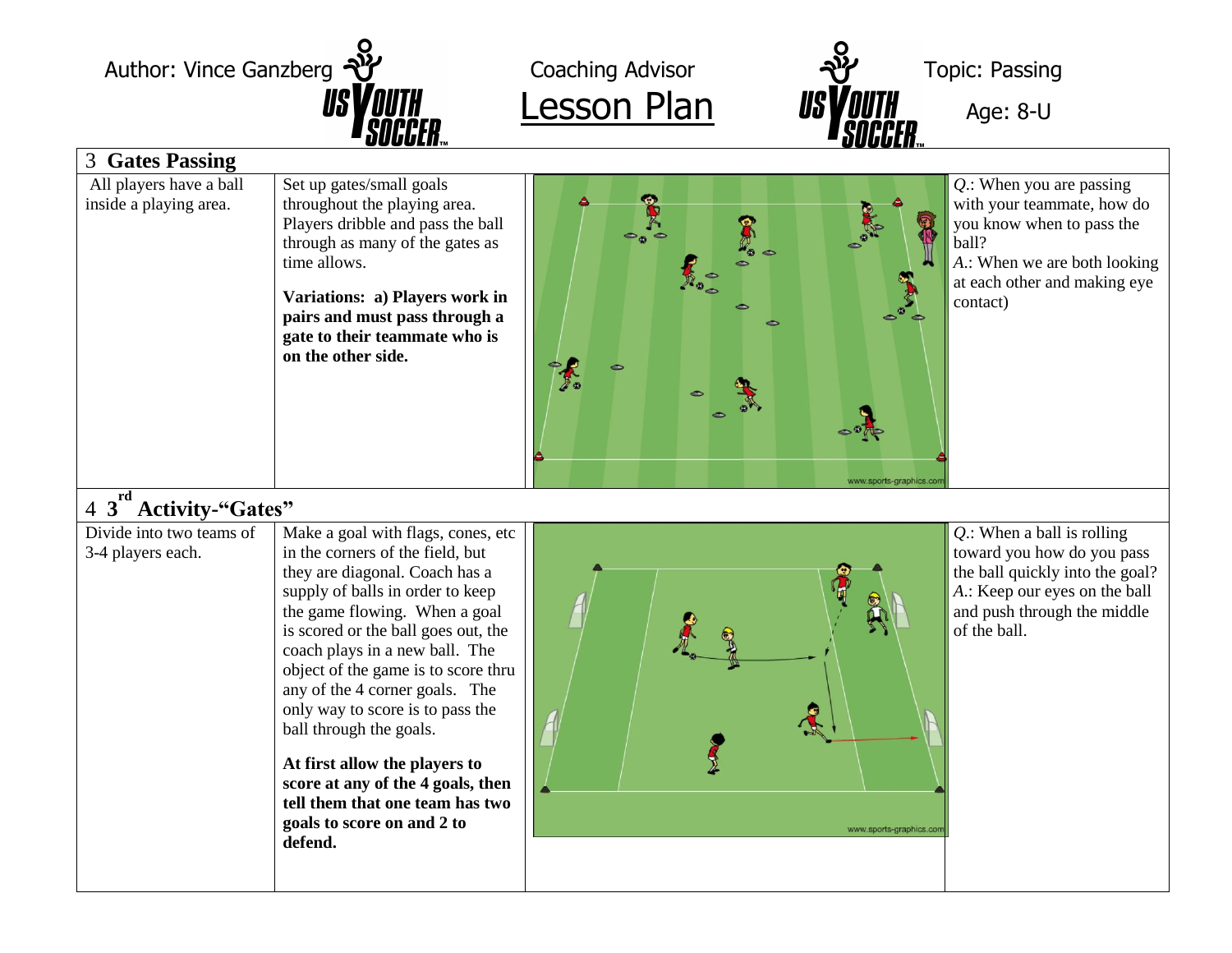| Author: Vince Ganzberg<br><b>3 Gates Passing</b>  |                                                                                                                                                                                                                                                                            | Coaching Advisor<br><b>Lesson Plan</b>                                                                                                                                                                                                                                                                                                                                                                                 | <b>Topic: Passing</b><br>Age: 8-U                                                                                                                                                                      |  |
|---------------------------------------------------|----------------------------------------------------------------------------------------------------------------------------------------------------------------------------------------------------------------------------------------------------------------------------|------------------------------------------------------------------------------------------------------------------------------------------------------------------------------------------------------------------------------------------------------------------------------------------------------------------------------------------------------------------------------------------------------------------------|--------------------------------------------------------------------------------------------------------------------------------------------------------------------------------------------------------|--|
| All players have a ball<br>inside a playing area. | Set up gates/small goals<br>throughout the playing area.<br>Players dribble and pass the ball<br>through as many of the gates as<br>time allows.<br>Variations: a) Players work in<br>pairs and must pass through a<br>gate to their teammate who is<br>on the other side. | $\begin{picture}(180,10) \put(0,0){\line(1,0){15}} \put(10,0){\line(1,0){15}} \put(10,0){\line(1,0){15}} \put(10,0){\line(1,0){15}} \put(10,0){\line(1,0){15}} \put(10,0){\line(1,0){15}} \put(10,0){\line(1,0){15}} \put(10,0){\line(1,0){15}} \put(10,0){\line(1,0){15}} \put(10,0){\line(1,0){15}} \put(10,0){\line(1,0){15}} \put(10,0){\line($<br>$\epsilon$<br>$\widehat{\mathbb{D}}_{\Phi_{\mathfrak{S}}}$<br>≏ | $Q$ .: When you are passing<br>with your teammate, how do<br>you know when to pass the<br>ball?<br>A.: When we are both looking<br>at each other and making eye<br>contact)<br>www.sports-graphics.cor |  |

## 4 **3 rd Activity-"Gates"**

| Divide into two teams of<br>Make a goal with flags, cones, etc<br>in the corners of the field, but<br>3-4 players each.<br>they are diagonal. Coach has a<br>supply of balls in order to keep<br>the game flowing. When a goal<br>is scored or the ball goes out, the<br>coach plays in a new ball. The<br>object of the game is to score thru<br>any of the 4 corner goals. The<br>only way to score is to pass the<br>ball through the goals.<br>At first allow the players to<br>score at any of the 4 goals, then<br>tell them that one team has two<br>goals to score on and 2 to<br>defend. | $Q$ .: When a ball is rolling<br>toward you how do you pass<br>the ball quickly into the goal?<br>A.: Keep our eyes on the ball<br>and push through the middle<br>of the ball.<br>www.sports-graphics.com |
|---------------------------------------------------------------------------------------------------------------------------------------------------------------------------------------------------------------------------------------------------------------------------------------------------------------------------------------------------------------------------------------------------------------------------------------------------------------------------------------------------------------------------------------------------------------------------------------------------|-----------------------------------------------------------------------------------------------------------------------------------------------------------------------------------------------------------|
|---------------------------------------------------------------------------------------------------------------------------------------------------------------------------------------------------------------------------------------------------------------------------------------------------------------------------------------------------------------------------------------------------------------------------------------------------------------------------------------------------------------------------------------------------------------------------------------------------|-----------------------------------------------------------------------------------------------------------------------------------------------------------------------------------------------------------|